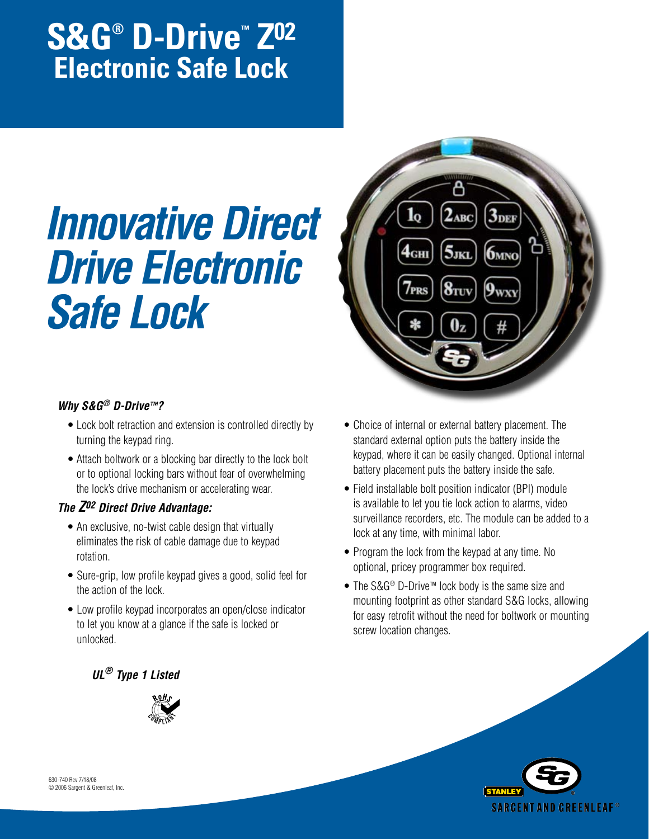# **S&G® D-Drive™ Z02 Electronic Safe Lock**

# *Innovative Direct Drive Electronic Safe Lock*



# *Why S&G® D-Drive™?*

- Lock bolt retraction and extension is controlled directly by turning the keypad ring.
- Attach boltwork or a blocking bar directly to the lock bolt or to optional locking bars without fear of overwhelming the lock's drive mechanism or accelerating wear.

# *The Z02 Direct Drive Advantage:*

- An exclusive, no-twist cable design that virtually eliminates the risk of cable damage due to keypad rotation.
- Sure-grip, low profile keypad gives a good, solid feel for the action of the lock.
- Low profile keypad incorporates an open/close indicator to let you know at a glance if the safe is locked or unlocked.
- Choice of internal or external battery placement. The standard external option puts the battery inside the keypad, where it can be easily changed. Optional internal battery placement puts the battery inside the safe.
- Field installable bolt position indicator (BPI) module is available to let you tie lock action to alarms, video surveillance recorders, etc. The module can be added to a lock at any time, with minimal labor.
- Program the lock from the keypad at any time. No optional, pricey programmer box required.
- The S&G® D-Drive™ lock body is the same size and mounting footprint as other standard S&G locks, allowing for easy retrofit without the need for boltwork or mounting screw location changes.